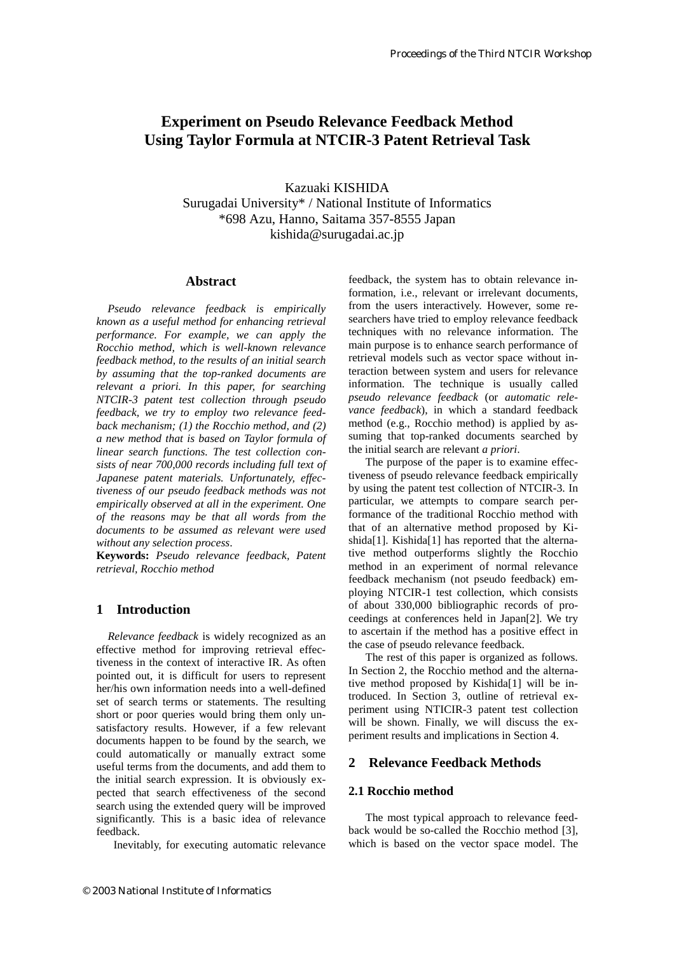# **Experiment on Pseudo Relevance Feedback Method Using Taylor Formula at NTCIR-3 Patent Retrieval Task**

Kazuaki KISHIDA Surugadai University\* / National Institute of Informatics \*698 Azu, Hanno, Saitama 357-8555 Japan kishida@surugadai.ac.jp

# **Abstract**

*Pseudo relevance feedback is empirically known as a useful method for enhancing retrieval performance. For example, we can apply the Rocchio method, which is well-known relevance feedback method, to the results of an initial search by assuming that the top-ranked documents are relevant a priori. In this paper, for searching NTCIR-3 patent test collection through pseudo feedback, we try to employ two relevance feedback mechanism; (1) the Rocchio method, and (2) a new method that is based on Taylor formula of linear search functions. The test collection consists of near 700,000 records including full text of Japanese patent materials. Unfortunately, effectiveness of our pseudo feedback methods was not empirically observed at all in the experiment. One of the reasons may be that all words from the documents to be assumed as relevant were used without any selection process*.

**Keywords:** *Pseudo relevance feedback, Patent retrieval, Rocchio method*

# **1 Introduction**

 *Relevance feedback* is widely recognized as an effective method for improving retrieval effectiveness in the context of interactive IR. As often pointed out, it is difficult for users to represent her/his own information needs into a well-defined set of search terms or statements. The resulting short or poor queries would bring them only unsatisfactory results. However, if a few relevant documents happen to be found by the search, we could automatically or manually extract some useful terms from the documents, and add them to the initial search expression. It is obviously expected that search effectiveness of the second search using the extended query will be improved significantly. This is a basic idea of relevance feedback.

Inevitably, for executing automatic relevance

feedback, the system has to obtain relevance information, i.e., relevant or irrelevant documents, from the users interactively. However, some researchers have tried to employ relevance feedback techniques with no relevance information. The main purpose is to enhance search performance of retrieval models such as vector space without interaction between system and users for relevance information. The technique is usually called *pseudo relevance feedback* (or *automatic relevance feedback*), in which a standard feedback method (e.g., Rocchio method) is applied by assuming that top-ranked documents searched by the initial search are relevant *a priori*.

 The purpose of the paper is to examine effectiveness of pseudo relevance feedback empirically by using the patent test collection of NTCIR-3. In particular, we attempts to compare search performance of the traditional Rocchio method with that of an alternative method proposed by Kishida<sup>[1]</sup>. Kishida<sup>[1]</sup> has reported that the alternative method outperforms slightly the Rocchio method in an experiment of normal relevance feedback mechanism (not pseudo feedback) employing NTCIR-1 test collection, which consists of about 330,000 bibliographic records of proceedings at conferences held in Japan[2]. We try to ascertain if the method has a positive effect in the case of pseudo relevance feedback.

 The rest of this paper is organized as follows. In Section 2, the Rocchio method and the alternative method proposed by Kishida[1] will be introduced. In Section 3, outline of retrieval experiment using NTICIR-3 patent test collection will be shown. Finally, we will discuss the experiment results and implications in Section 4.

# **2 Relevance Feedback Methods**

# **2.1 Rocchio method**

 The most typical approach to relevance feedback would be so-called the Rocchio method [3], which is based on the vector space model. The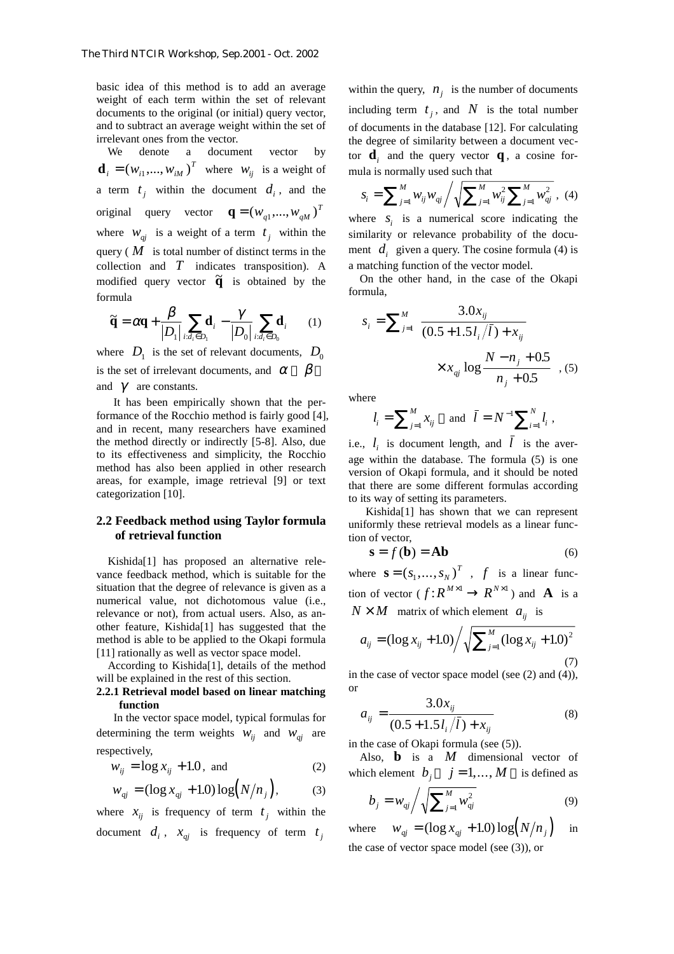basic idea of this method is to add an average weight of each term within the set of relevant documents to the original (or initial) query vector, and to subtract an average weight within the set of irrelevant ones from the vector.

We denote a document vector by  $\mathbf{d}_i = (w_{i1},..., w_{iM})^T$  where  $w_{ij}$  is a weight of a term  $t_i$  within the document  $d_i$ , and the original query vector  $\mathbf{q} = (w_{q1},...,w_{qM})^T$ where  $W_{qi}$  is a weight of a term  $t_i$  within the query ( $\dot{M}$  is total number of distinct terms in the collection and *T* indicates transposition). A modified query vector  $\tilde{q}$  is obtained by the formula

$$
\widetilde{\mathbf{q}} = \alpha \mathbf{q} + \frac{\beta}{|D_1|} \sum_{i:d_i \in D_1} \mathbf{d}_i - \frac{\gamma}{|D_0|} \sum_{i:d_i \in D_0} \mathbf{d}_i \qquad (1)
$$

where  $D_1$  is the set of relevant documents,  $D_0$ is the set of irrelevant documents, and  $\alpha$   $\beta$ and  $\gamma$  are constants.

 It has been empirically shown that the performance of the Rocchio method is fairly good [4], and in recent, many researchers have examined the method directly or indirectly [5-8]. Also, due to its effectiveness and simplicity, the Rocchio method has also been applied in other research areas, for example, image retrieval [9] or text categorization [10].

# **2.2 Feedback method using Taylor formula of retrieval function**

 Kishida[1] has proposed an alternative relevance feedback method, which is suitable for the situation that the degree of relevance is given as a numerical value, not dichotomous value (i.e., relevance or not), from actual users. Also, as another feature, Kishida[1] has suggested that the method is able to be applied to the Okapi formula [11] rationally as well as vector space model.

 According to Kishida[1], details of the method will be explained in the rest of this section.

### **2.2.1 Retrieval model based on linear matching function**

 In the vector space model, typical formulas for determining the term weights  $W_{ij}$  and  $W_{qi}$  are respectively,

$$
w_{ij} = \log x_{ij} + 1.0, \text{ and} \tag{2}
$$

$$
w_{qj} = (\log x_{qj} + 1.0) \log (N/n_j), \tag{3}
$$

where  $x_{ij}$  is frequency of term  $t_j$  within the document  $d_i$ ,  $x_{qi}$  is frequency of term  $t_i$  within the query,  $n_i$  is the number of documents including term  $t_i$ , and  $N$  is the total number of documents in the database [12]. For calculating the degree of similarity between a document vector  $\mathbf{d}_i$  and the query vector  $\mathbf{q}$ , a cosine formula is normally used such that

$$
S_i = \sum_{j=1}^{M} W_{ij} W_{qj} / \sqrt{\sum_{j=1}^{M} W_{ij}^2 \sum_{j=1}^{M} W_{qj}^2}, \quad (4)
$$

where  $s_i$  is a numerical score indicating the similarity or relevance probability of the document  $d_i$  given a query. The cosine formula (4) is a matching function of the vector model.

On the other hand, in the case of the Okapi formula,

$$
s_i = \sum_{j=1}^{M} \left( \frac{3.0x_{ij}}{(0.5 + 1.5l_i/\bar{l}) + x_{ij}} \times x_{ij} \log \frac{N - n_j + 0.5}{n_j + 0.5} \right), (5)
$$

where

$$
l_i = \sum_{j=1}^{M} x_{ij}
$$
 and  $\bar{l} = N^{-1} \sum_{i=1}^{N} l_i$ ,

i.e.,  $l_i$  is document length, and  $\overline{l}$  is the average within the database. The formula (5) is one version of Okapi formula, and it should be noted that there are some different formulas according to its way of setting its parameters.

 Kishida[1] has shown that we can represent uniformly these retrieval models as a linear function of vector,

$$
\mathbf{s} = f(\mathbf{b}) = \mathbf{A}\mathbf{b} \tag{6}
$$

where  $\mathbf{s} = (s_1, ..., s_N)^T$ , f is a linear function of vector ( $f: R^{M \times 1} \to R^{N \times 1}$ ) and **A** is a  $N \times M$  matrix of which element  $a_{ij}$  is

$$
a_{ij} = (\log x_{ij} + 1.0) / \sqrt{\sum_{j=1}^{M} (\log x_{ij} + 1.0)^2}
$$
\n(7)

in the case of vector space model (see (2) and (4)), or

$$
a_{ij} = \frac{3.0x_{ij}}{(0.5 + 1.5l_i/\bar{l}) + x_{ij}}\tag{8}
$$

in the case of Okapi formula (see (5)).

Also, **b** is a *M* dimensional vector of which element  $b_i$   $j = 1,..., M$  is defined as

$$
b_j = w_{ij} / \sqrt{\sum_{j=1}^{M} w_{ij}^2}
$$
 (9)

where  $w_{qi} = (\log x_{qi} + 1.0) \log(N/n_i)$  in the case of vector space model (see (3)), or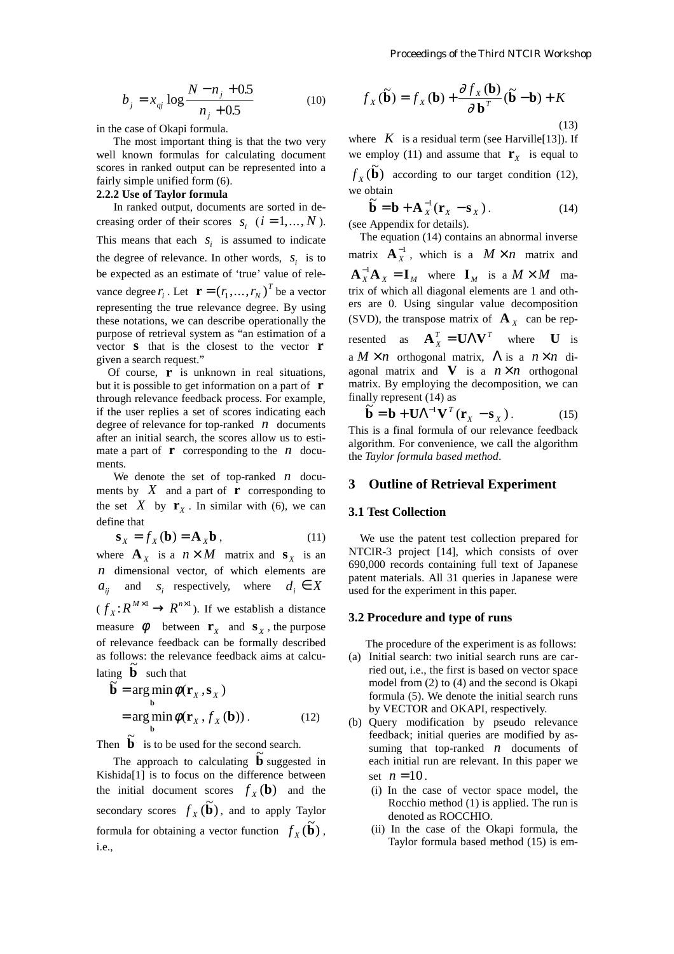$$
b_j = x_{ij} \log \frac{N - n_j + 0.5}{n_j + 0.5}
$$
 (10)

in the case of Okapi formula.

 The most important thing is that the two very well known formulas for calculating document scores in ranked output can be represented into a fairly simple unified form (6).

# **2.2.2 Use of Taylor formula**

 In ranked output, documents are sorted in decreasing order of their scores  $s_i$  ( $i = 1, ..., N$ ). This means that each  $s_i$  is assumed to indicate the degree of relevance. In other words,  $S_i$  is to be expected as an estimate of 'true' value of relevance degree  $r_i$ . Let  $\mathbf{r} = (r_1, ..., r_N)^T$  be a vector representing the true relevance degree. By using these notations, we can describe operationally the purpose of retrieval system as "an estimation of a vector **s** that is the closest to the vector **r** given a search request."

 Of course, **r** is unknown in real situations, but it is possible to get information on a part of **r** through relevance feedback process. For example, if the user replies a set of scores indicating each degree of relevance for top-ranked *n* documents after an initial search, the scores allow us to estimate a part of  $\bf{r}$  corresponding to the *n* documents.

 We denote the set of top-ranked *n* documents by  $X$  and a part of **r** corresponding to the set  $X$  by  $\mathbf{r}_X$ . In similar with (6), we can define that

$$
\mathbf{s}_{X} = f_{X}(\mathbf{b}) = \mathbf{A}_{X}\mathbf{b}, \qquad (11)
$$

where  $\mathbf{A}_x$  is a  $n \times M$  matrix and  $\mathbf{s}_x$  is an *n* dimensional vector, of which elements are  $a_{ii}$  and  $s_i$  respectively, where  $d_i \in X$  $(f_X: R^{M \times 1} \to R^{n \times 1})$ . If we establish a distance measure  $\phi$  between **r**<sub>*x*</sub> and **s**<sub>*x*</sub>, the purpose of relevance feedback can be formally described as follows: the relevance feedback aims at calculating  $\tilde{b}$  such that

$$
\widetilde{\mathbf{b}} = \underset{\mathbf{b}}{\arg\min} \phi(\mathbf{r}_X, \mathbf{s}_X)
$$
  
= 
$$
\underset{\mathbf{b}}{\arg\min} \phi(\mathbf{r}_X, f_X(\mathbf{b})).
$$
 (12)

Then  $\tilde{b}$  is to be used for the second search.

Then  $\overline{b}$  is to be used for the second search.<br>The approach to calculating  $\overline{b}$  suggested in Kishida[1] is to focus on the difference between the initial document scores  $f_X(\mathbf{b})$  and the secondary scores  $f_X(\mathbf{\tilde{b}})$ , and to apply Taylor formula for obtaining a vector function  $f_X(\mathbf{\tilde{b}})$ , i.e.,

$$
f_X(\widetilde{\mathbf{b}}) = f_X(\mathbf{b}) + \frac{\partial f_X(\mathbf{b})}{\partial \mathbf{b}^T} (\widetilde{\mathbf{b}} - \mathbf{b}) + K
$$
\n(13)

where  $K$  is a residual term (see Harville [13]). If we employ (11) and assume that  $\mathbf{r}_x$  is equal to

 $f_X(\mathbf{\tilde{b}})$  according to our target condition (12), we obtain

$$
\widetilde{\mathbf{b}} = \mathbf{b} + \mathbf{A}_X^{-1} (\mathbf{r}_X - \mathbf{s}_X).
$$
\n(14)  
\n(see Appendix for details).

 The equation (14) contains an abnormal inverse matrix  $\mathbf{A}_X^{-1}$ , which is a  $M \times n$  matrix and  $\mathbf{A}_X^{-1}\mathbf{A}_X = \mathbf{I}_M$  where  $\mathbf{I}_M$  is a  $M \times M$  matrix of which all diagonal elements are 1 and others are 0. Using singular value decomposition (SVD), the transpose matrix of  $A_x$  can be represented as  $\mathbf{A}_X^T = \mathbf{U} \mathbf{\Lambda} \mathbf{V}^T$  where **U** is a  $M \times n$  orthogonal matrix,  $\Lambda$  is a  $n \times n$  diagonal matrix and  $\bf{V}$  is a  $n \times n$  orthogonal matrix. By employing the decomposition, we can finally represent  $(14)$  as

$$
\widetilde{\mathbf{b}} = \mathbf{b} + \mathbf{U} \Lambda^{-1} \mathbf{V}^T (\mathbf{r}_X - \mathbf{s}_X). \tag{15}
$$
  
his is a final formula of our relevance feedback

This is a final formula of our relevance feedback algorithm. For convenience, we call the algorithm the *Taylor formula based method*.

# **3 Outline of Retrieval Experiment**

### **3.1 Test Collection**

 We use the patent test collection prepared for NTCIR-3 project [14], which consists of over 690,000 records containing full text of Japanese patent materials. All 31 queries in Japanese were used for the experiment in this paper.

# **3.2 Procedure and type of runs**

The procedure of the experiment is as follows:

- (a) Initial search: two initial search runs are carried out, i.e., the first is based on vector space model from (2) to (4) and the second is Okapi formula (5). We denote the initial search runs by VECTOR and OKAPI, respectively.
- (b) Query modification by pseudo relevance feedback; initial queries are modified by assuming that top-ranked *n* documents of each initial run are relevant. In this paper we set  $n = 10$ .
	- (i) In the case of vector space model, the Rocchio method (1) is applied. The run is denoted as ROCCHIO.
	- (ii) In the case of the Okapi formula, the Taylor formula based method (15) is em-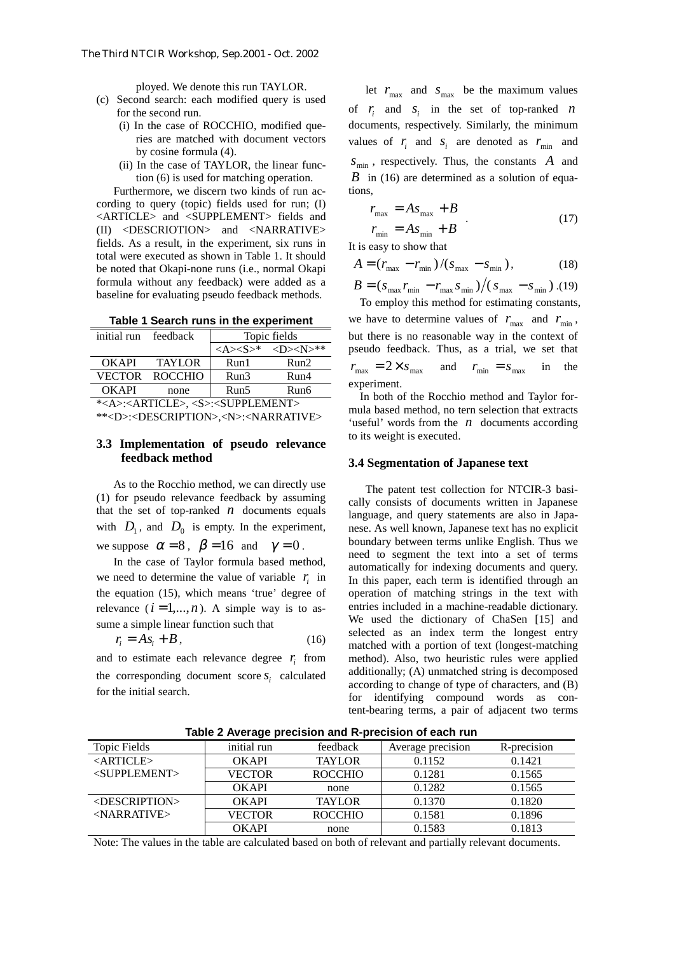ployed. We denote this run TAYLOR.

- (c) Second search: each modified query is used for the second run.
	- (i) In the case of ROCCHIO, modified queries are matched with document vectors by cosine formula (4).
	- (ii) In the case of TAYLOR, the linear function (6) is used for matching operation.

 Furthermore, we discern two kinds of run according to query (topic) fields used for run; (I) <ARTICLE> and <SUPPLEMENT> fields and (II) <DESCRIOTION> and <NARRATIVE> fields. As a result, in the experiment, six runs in total were executed as shown in Table 1. It should be noted that Okapi-none runs (i.e., normal Okapi formula without any feedback) were added as a baseline for evaluating pseudo feedback methods.

**Table 1 Search runs in the experiment** 

| initial run feedback                                             |                | Topic fields |                                                                                    |  |  |
|------------------------------------------------------------------|----------------|--------------|------------------------------------------------------------------------------------|--|--|
|                                                                  |                |              | $\langle A \rangle \langle S \rangle^*$ $\langle D \rangle \langle N \rangle^{**}$ |  |  |
| <b>OKAPI</b>                                                     | <b>TAYLOR</b>  | Run1         | Run2                                                                               |  |  |
| VECTOR                                                           | <b>ROCCHIO</b> | Run3         | Run4                                                                               |  |  |
| <b>OKAPI</b>                                                     | none           | Run5         | Run6                                                                               |  |  |
| * <a>:<article>, <s>:<supplement></supplement></s></article></a> |                |              |                                                                                    |  |  |

\*\*<D>:<DESCRIPTION>,<N>:<NARRATIVE>

# **3.3 Implementation of pseudo relevance feedback method**

 As to the Rocchio method, we can directly use (1) for pseudo relevance feedback by assuming that the set of top-ranked  $n$  documents equals with  $D_1$ , and  $D_0$  is empty. In the experiment, we suppose  $\alpha = 8$ ,  $\beta = 16$  and  $\gamma = 0$ .

 In the case of Taylor formula based method, we need to determine the value of variable  $r_i$  in the equation (15), which means 'true' degree of relevance  $(i = 1, ..., n)$ . A simple way is to assume a simple linear function such that

$$
r_i = As_i + B, \t\t(16)
$$

and to estimate each relevance degree  $r_i$  from the corresponding document score  $S_i$  calculated for the initial search.

let  $r_{\text{max}}$  and  $s_{\text{max}}$  be the maximum values of  $r_i$  and  $s_i$  in the set of top-ranked  $n$ documents, respectively. Similarly, the minimum values of  $r_i$  and  $s_i$  are denoted as  $r_{\text{min}}$  and  $s_{\min}$ , respectively. Thus, the constants A and *B* in (16) are determined as a solution of equations,

$$
\begin{cases}\nr_{\text{max}} = As_{\text{max}} + B \\
r_{\text{min}} = As_{\text{min}} + B\n\end{cases} \tag{17}
$$

It is easy to show that

$$
A = (r_{\text{max}} - r_{\text{min}}) / (s_{\text{max}} - s_{\text{min}}),
$$
 (18)

 $B = (s_{\text{max}} r_{\text{min}} - r_{\text{max}} s_{\text{min}})/(s_{\text{max}} - s_{\text{min}})$ .(19) To employ this method for estimating constants,

we have to determine values of  $r_{\text{max}}$  and  $r_{\text{min}}$ , but there is no reasonable way in the context of pseudo feedback. Thus, as a trial, we set that  $r_{\text{max}} = 2 \times s_{\text{max}}$  and  $r_{\text{min}} = s_{\text{max}}$  in the experiment.

 In both of the Rocchio method and Taylor formula based method, no tern selection that extracts 'useful' words from the *n* documents according to its weight is executed.

#### **3.4 Segmentation of Japanese text**

 The patent test collection for NTCIR-3 basically consists of documents written in Japanese language, and query statements are also in Japanese. As well known, Japanese text has no explicit boundary between terms unlike English. Thus we need to segment the text into a set of terms automatically for indexing documents and query. In this paper, each term is identified through an operation of matching strings in the text with entries included in a machine-readable dictionary. We used the dictionary of ChaSen [15] and selected as an index term the longest entry matched with a portion of text (longest-matching method). Also, two heuristic rules were applied additionally; (A) unmatched string is decomposed according to change of type of characters, and (B) for identifying compound words as content-bearing terms, a pair of adjacent two terms

| .                               |               |                |                   |             |  |  |
|---------------------------------|---------------|----------------|-------------------|-------------|--|--|
| Topic Fields                    | initial run   | feedback       | Average precision | R-precision |  |  |
| $\langle \text{ARTICLE}\rangle$ | OKAPI         | <b>TAYLOR</b>  | 0.1152            | 0.1421      |  |  |
| <supplement></supplement>       | <b>VECTOR</b> | <b>ROCCHIO</b> | 0.1281            | 0.1565      |  |  |
|                                 | <b>OKAPI</b>  | none           | 0.1282            | 0.1565      |  |  |
| <description></description>     | OKAPI         | <b>TAYLOR</b>  | 0.1370            | 0.1820      |  |  |
| $<$ NARRATIVE $>$               | <b>VECTOR</b> | <b>ROCCHIO</b> | 0.1581            | 0.1896      |  |  |
|                                 | <b>OKAPI</b>  | none           | 0.1583            | 0.1813      |  |  |

**Table 2 Average precision and R-precision of each run** 

Note: The values in the table are calculated based on both of relevant and partially relevant documents.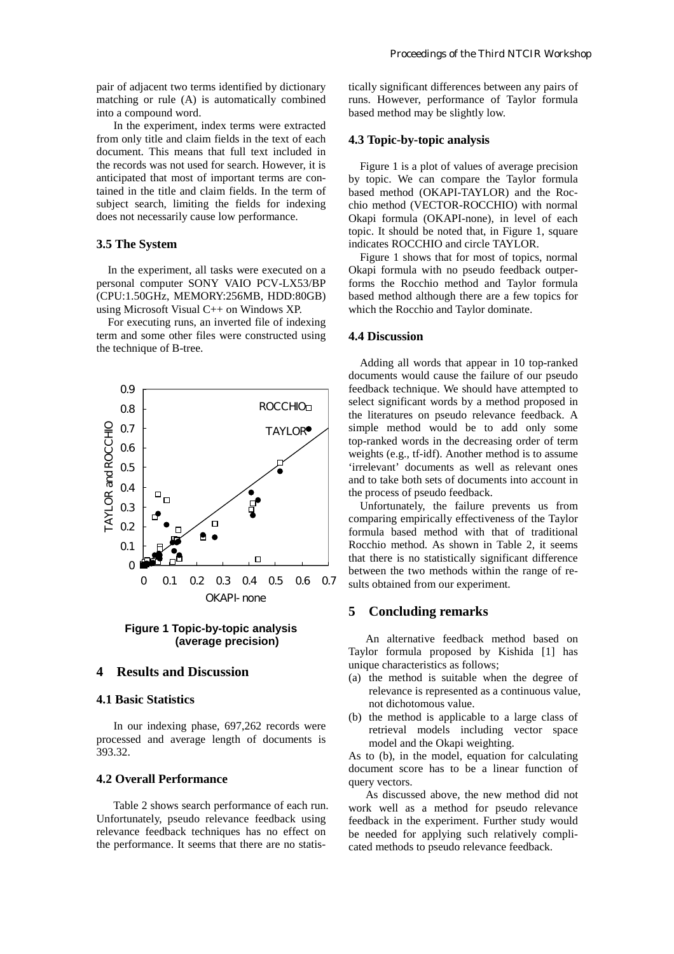pair of adjacent two terms identified by dictionary matching or rule (A) is automatically combined into a compound word.

 In the experiment, index terms were extracted from only title and claim fields in the text of each document. This means that full text included in the records was not used for search. However, it is anticipated that most of important terms are contained in the title and claim fields. In the term of subject search, limiting the fields for indexing does not necessarily cause low performance.

#### **3.5 The System**

 In the experiment, all tasks were executed on a personal computer SONY VAIO PCV-LX53/BP (CPU:1.50GHz, MEMORY:256MB, HDD:80GB) using Microsoft Visual C++ on Windows XP.

 For executing runs, an inverted file of indexing term and some other files were constructed using the technique of B-tree.



**Figure 1 Topic-by-topic analysis (average precision)**

# **4 Results and Discussion**

# **4.1 Basic Statistics**

 In our indexing phase, 697,262 records were processed and average length of documents is 393.32.

# **4.2 Overall Performance**

 Table 2 shows search performance of each run. Unfortunately, pseudo relevance feedback using relevance feedback techniques has no effect on the performance. It seems that there are no statistically significant differences between any pairs of runs. However, performance of Taylor formula based method may be slightly low.

#### **4.3 Topic-by-topic analysis**

 Figure 1 is a plot of values of average precision by topic. We can compare the Taylor formula based method (OKAPI-TAYLOR) and the Rocchio method (VECTOR-ROCCHIO) with normal Okapi formula (OKAPI-none), in level of each topic. It should be noted that, in Figure 1, square indicates ROCCHIO and circle TAYLOR.

 Figure 1 shows that for most of topics, normal Okapi formula with no pseudo feedback outperforms the Rocchio method and Taylor formula based method although there are a few topics for which the Rocchio and Taylor dominate.

#### **4.4 Discussion**

 Adding all words that appear in 10 top-ranked documents would cause the failure of our pseudo feedback technique. We should have attempted to select significant words by a method proposed in the literatures on pseudo relevance feedback. A simple method would be to add only some top-ranked words in the decreasing order of term weights (e.g., tf-idf). Another method is to assume 'irrelevant' documents as well as relevant ones and to take both sets of documents into account in the process of pseudo feedback.

 Unfortunately, the failure prevents us from comparing empirically effectiveness of the Taylor formula based method with that of traditional Rocchio method. As shown in Table 2, it seems that there is no statistically significant difference between the two methods within the range of results obtained from our experiment.

# **5 Concluding remarks**

 An alternative feedback method based on Taylor formula proposed by Kishida [1] has unique characteristics as follows;

- (a) the method is suitable when the degree of relevance is represented as a continuous value, not dichotomous value.
- (b) the method is applicable to a large class of retrieval models including vector space model and the Okapi weighting.

As to (b), in the model, equation for calculating document score has to be a linear function of query vectors.

 As discussed above, the new method did not work well as a method for pseudo relevance feedback in the experiment. Further study would be needed for applying such relatively complicated methods to pseudo relevance feedback.